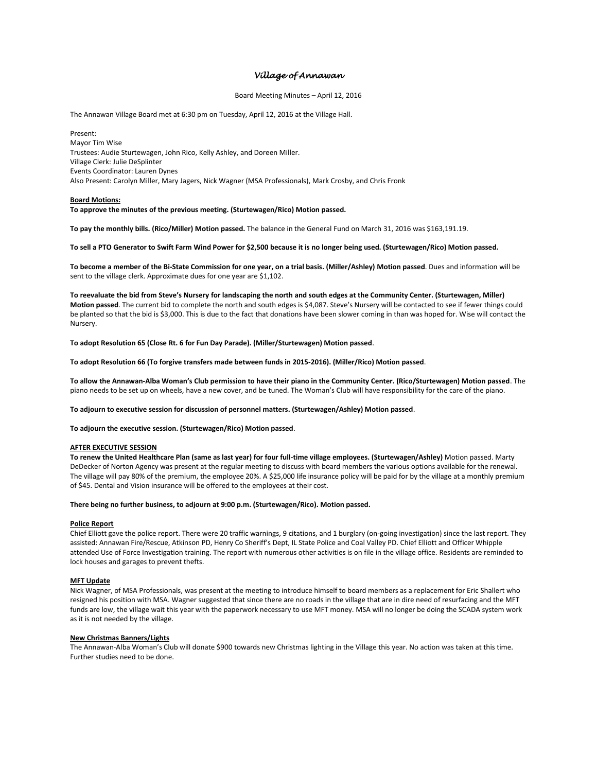# *Village of Annawan*

## Board Meeting Minutes – April 12, 2016

The Annawan Village Board met at 6:30 pm on Tuesday, April 12, 2016 at the Village Hall.

Present: Mayor Tim Wise Trustees: Audie Sturtewagen, John Rico, Kelly Ashley, and Doreen Miller. Village Clerk: Julie DeSplinter Events Coordinator: Lauren Dynes Also Present: Carolyn Miller, Mary Jagers, Nick Wagner (MSA Professionals), Mark Crosby, and Chris Fronk

## **Board Motions:**

**To approve the minutes of the previous meeting. (Sturtewagen/Rico) Motion passed.** 

**To pay the monthly bills. (Rico/Miller) Motion passed.** The balance in the General Fund on March 31, 2016 was \$163,191.19.

**To sell a PTO Generator to Swift Farm Wind Power for \$2,500 because it is no longer being used. (Sturtewagen/Rico) Motion passed.**

**To become a member of the Bi-State Commission for one year, on a trial basis. (Miller/Ashley) Motion passed**. Dues and information will be sent to the village clerk. Approximate dues for one year are \$1,102.

**To reevaluate the bid from Steve's Nursery for landscaping the north and south edges at the Community Center. (Sturtewagen, Miller) Motion passed**. The current bid to complete the north and south edges is \$4,087. Steve's Nursery will be contacted to see if fewer things could be planted so that the bid is \$3,000. This is due to the fact that donations have been slower coming in than was hoped for. Wise will contact the Nursery.

**To adopt Resolution 65 (Close Rt. 6 for Fun Day Parade). (Miller/Sturtewagen) Motion passed**.

**To adopt Resolution 66 (To forgive transfers made between funds in 2015-2016). (Miller/Rico) Motion passed**.

**To allow the Annawan-Alba Woman's Club permission to have their piano in the Community Center. (Rico/Sturtewagen) Motion passed**. The piano needs to be set up on wheels, have a new cover, and be tuned. The Woman's Club will have responsibility for the care of the piano.

**To adjourn to executive session for discussion of personnel matters. (Sturtewagen/Ashley) Motion passed**.

**To adjourn the executive session. (Sturtewagen/Rico) Motion passed**.

# **AFTER EXECUTIVE SESSION**

**To renew the United Healthcare Plan (same as last year) for four full-time village employees. (Sturtewagen/Ashley)** Motion passed. Marty DeDecker of Norton Agency was present at the regular meeting to discuss with board members the various options available for the renewal. The village will pay 80% of the premium, the employee 20%. A \$25,000 life insurance policy will be paid for by the village at a monthly premium of \$45. Dental and Vision insurance will be offered to the employees at their cost.

# **There being no further business, to adjourn at 9:00 p.m. (Sturtewagen/Rico). Motion passed.**

#### **Police Report**

Chief Elliott gave the police report. There were 20 traffic warnings, 9 citations, and 1 burglary (on-going investigation) since the last report. They assisted: Annawan Fire/Rescue, Atkinson PD, Henry Co Sheriff's Dept, IL State Police and Coal Valley PD. Chief Elliott and Officer Whipple attended Use of Force Investigation training. The report with numerous other activities is on file in the village office. Residents are reminded to lock houses and garages to prevent thefts.

#### **MFT Update**

Nick Wagner, of MSA Professionals, was present at the meeting to introduce himself to board members as a replacement for Eric Shallert who resigned his position with MSA. Wagner suggested that since there are no roads in the village that are in dire need of resurfacing and the MFT funds are low, the village wait this year with the paperwork necessary to use MFT money. MSA will no longer be doing the SCADA system work as it is not needed by the village.

#### **New Christmas Banners/Lights**

The Annawan-Alba Woman's Club will donate \$900 towards new Christmas lighting in the Village this year. No action was taken at this time. Further studies need to be done.